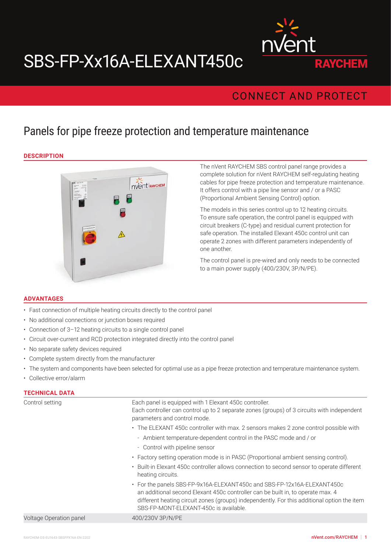# SBS-FP-Xx16A-ELEXANT450c



# **CONNECT AND PROTECT**

# Panels for pipe freeze protection and temperature maintenance

#### **DESCRIPTION**



The nVent RAYCHEM SBS control panel range provides a complete solution for nVent RAYCHEM self-regulating heating cables for pipe freeze protection and temperature maintenance. It offers control with a pipe line sensor and / or a PASC (Proportional Ambient Sensing Control) option.

The models in this series control up to 12 heating circuits. To ensure safe operation, the control panel is equipped with circuit breakers (C-type) and residual current protection for safe operation. The installed Elexant 450c control unit can operate 2 zones with different parameters independently of one another.

The control panel is pre-wired and only needs to be connected to a main power supply (400/230V, 3P/N/PE).

#### **ADVANTAGES**

- Fast connection of multiple heating circuits directly to the control panel
- No additional connections or junction boxes required
- Connection of 3–12 heating circuits to a single control panel
- Circuit over-current and RCD protection integrated directly into the control panel
- No separate safety devices required
- Complete system directly from the manufacturer
- The system and components have been selected for optimal use as a pipe freeze protection and temperature maintenance system.
- Collective error/alarm

| <b>TECHNICAL DATA</b>          |                                                                                                                                                                                                                                                                                                     |  |  |  |
|--------------------------------|-----------------------------------------------------------------------------------------------------------------------------------------------------------------------------------------------------------------------------------------------------------------------------------------------------|--|--|--|
| Control setting                | Each panel is equipped with 1 Elexant 450c controller.<br>Each controller can control up to 2 separate zones (groups) of 3 circuits with independent<br>parameters and control mode.                                                                                                                |  |  |  |
|                                | • The ELEXANT 450c controller with max. 2 sensors makes 2 zone control possible with                                                                                                                                                                                                                |  |  |  |
|                                | - Ambient temperature-dependent control in the PASC mode and / or                                                                                                                                                                                                                                   |  |  |  |
|                                | - Control with pipeline sensor                                                                                                                                                                                                                                                                      |  |  |  |
|                                | • Factory setting operation mode is in PASC (Proportional ambient sensing control).                                                                                                                                                                                                                 |  |  |  |
|                                | • Built-in Elexant 450c controller allows connection to second sensor to operate different<br>heating circuits.                                                                                                                                                                                     |  |  |  |
|                                | • For the panels SBS-FP-9x16A-ELEXANT450c and SBS-FP-12x16A-ELEXANT450c<br>an additional second Elexant 450c controller can be built in, to operate max. 4<br>different heating circuit zones (groups) independently. For this additional option the item<br>SBS-FP-MONT-ELEXANT-450c is available. |  |  |  |
| <b>Voltage Operation panel</b> | 400/230V 3P/N/PE                                                                                                                                                                                                                                                                                    |  |  |  |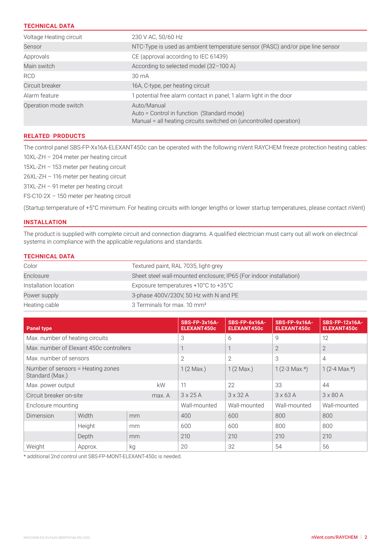## **TECHNICAL DATA**

| Voltage Heating circuit | 230 V AC, 50/60 Hz                                                                                                              |
|-------------------------|---------------------------------------------------------------------------------------------------------------------------------|
| Sensor                  | NTC-Type is used as ambient temperature sensor (PASC) and/or pipe line sensor                                                   |
| Approvals               | CE (approval according to IEC 61439)                                                                                            |
| Main switch             | According to selected model (32-100 A)                                                                                          |
| <b>RCD</b>              | $30 \text{ mA}$                                                                                                                 |
| Circuit breaker         | 16A, C-type, per heating circuit                                                                                                |
| Alarm feature           | 1 potential free alarm contact in panel; 1 alarm light in the door                                                              |
| Operation mode switch   | Auto/Manual<br>Auto = Control in function (Standard mode)<br>Manual = all heating circuits switched on (uncontrolled operation) |

#### **RELATED PRODUCTS**

The control panel SBS-FP-Xx16A-ELEXANT450c can be operated with the following nVent RAYCHEM freeze protection heating cables: 10XL-ZH – 204 meter per heating circuit

XL-ZH – 153 meter per heating circuit XL-ZH – 116 meter per heating circuit XL-ZH – 91 meter per heating circuit FS-C10-2X – 150 meter per heating circuit

(Startup temperature of +5°C minimum. For heating circuits with longer lengths or lower startup temperatures, please contact nVent)

## **INSTALLATION**

The product is supplied with complete circuit and connection diagrams. A qualified electrician must carry out all work on electrical systems in compliance with the applicable regulations and standards.

## **TECHNICAL DATA**

| Color                 | Textured paint, RAL 7035, light-grey                               |
|-----------------------|--------------------------------------------------------------------|
| Enclosure             | Sheet steel wall-mounted enclosure; IP65 (For indoor installation) |
| Installation location | Exposure temperatures $+10^{\circ}$ C to $+35^{\circ}$ C           |
| Power supply          | 3-phase 400V/230V, 50 Hz with N and PE                             |
| Heating cable         | 3 Terminals for max. 10 mm <sup>2</sup>                            |

| <b>Panel type</b>                                    |         |                     | <b>SBS-FP-3x16A-</b><br><b>ELEXANT450c</b> | SBS-FP-6x16A-<br><b>ELEXANT450c</b> | <b>SBS-FP-9x16A-</b><br>ELEXANT450c | <b>SBS-FP-12x16A-</b><br><b>ELEXANT450c</b> |
|------------------------------------------------------|---------|---------------------|--------------------------------------------|-------------------------------------|-------------------------------------|---------------------------------------------|
| Max. number of heating circuits                      |         | 3                   | 6                                          | 9                                   | 12                                  |                                             |
| Max, number of Elexant 450c controllers              |         |                     | $\mathbf{I}$                               |                                     | $\overline{2}$                      | $\overline{2}$                              |
| Max, number of sensors                               |         | 2                   | $\overline{2}$                             | 3                                   | $\overline{4}$                      |                                             |
| Number of sensors = Heating zones<br>Standard (Max.) |         | $1(2 \text{ Max.})$ | $1(2 \text{ Max.})$                        | $1(2-3 \text{ Max.})$               | $1(2-4 \text{ Max.})$               |                                             |
| kW<br>Max. power output                              |         | 11                  | 22                                         | 33                                  | 44                                  |                                             |
| Circuit breaker on-site<br>max. A                    |         | $3 \times 25$ A     | $3 \times 32$ A                            | $3 \times 63$ A                     | $3 \times 80$ A                     |                                             |
| Enclosure mounting                                   |         | Wall-mounted        | Wall-mounted                               | Wall-mounted                        | Wall-mounted                        |                                             |
| Dimension                                            | Width   | mm                  | 400                                        | 600                                 | 800                                 | 800                                         |
|                                                      | Height  | mm                  | 600                                        | 600                                 | 800                                 | 800                                         |
|                                                      | Depth   | mm                  | 210                                        | 210                                 | 210                                 | 210                                         |
| Weight                                               | Approx. | kg                  | 20                                         | 32                                  | 54                                  | 56                                          |

\* additional 2nd control unit SBS-FP-MONT-ELEXANT-450c is needed.